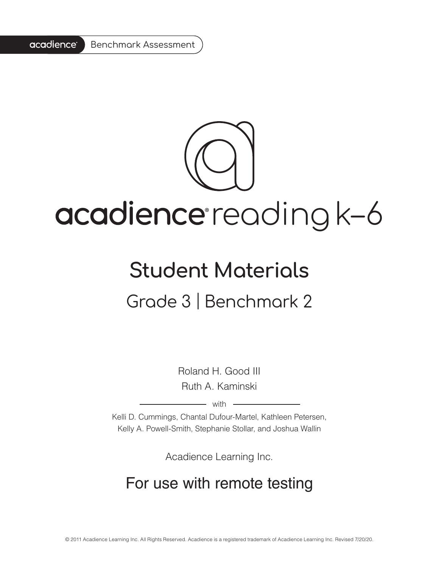

# acadience reading k-6

# **Student Materials** Grade 3 | Benchmark 2

Roland H. Good III Ruth A. Kaminski

 $-$  with  $-$ 

Kelli D. Cummings, Chantal Dufour-Martel, Kathleen Petersen, Kelly A. Powell-Smith, Stephanie Stollar, and Joshua Wallin

Acadience Learning Inc.

# For use with remote testing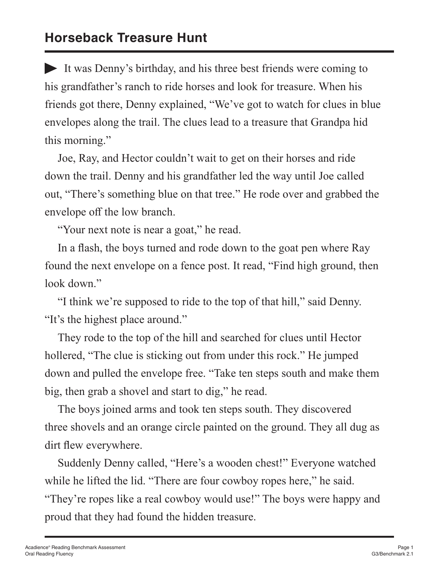# **Horseback Treasure Hunt**

It was Denny's birthday, and his three best friends were coming to his grandfather's ranch to ride horses and look for treasure. When his friends got there, Denny explained, "We've got to watch for clues in blue envelopes along the trail. The clues lead to a treasure that Grandpa hid this morning."

Joe, Ray, and Hector couldn't wait to get on their horses and ride down the trail. Denny and his grandfather led the way until Joe called out, "There's something blue on that tree." He rode over and grabbed the envelope off the low branch.

"Your next note is near a goat," he read.

In a flash, the boys turned and rode down to the goat pen where Ray found the next envelope on a fence post. It read, "Find high ground, then look down."

"I think we're supposed to ride to the top of that hill," said Denny. "It's the highest place around."

They rode to the top of the hill and searched for clues until Hector hollered, "The clue is sticking out from under this rock." He jumped down and pulled the envelope free. "Take ten steps south and make them big, then grab a shovel and start to dig," he read.

The boys joined arms and took ten steps south. They discovered three shovels and an orange circle painted on the ground. They all dug as dirt flew everywhere.

"They're ropes like a real cowboy would use!" The boys were happy and Suddenly Denny called, "Here's a wooden chest!" Everyone watched while he lifted the lid. "There are four cowboy ropes here," he said. proud that they had found the hidden treasure.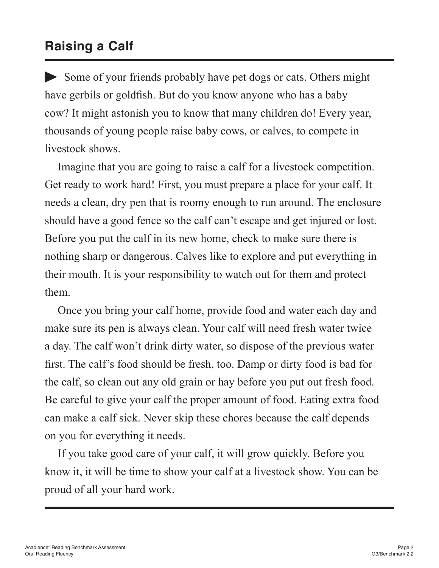# **Raising a Calf**

Some of your friends probably have pet dogs or cats. Others might have gerbils or goldfish. But do you know anyone who has a baby cow? It might astonish you to know that many children do! Every year, thousands of young people raise baby cows, or calves, to compete in livestock shows.

Imagine that you are going to raise a calf for a livestock competition. Get ready to work hard! First, you must prepare a place for your calf. It needs a clean, dry pen that is roomy enough to run around. The enclosure should have a good fence so the calf can't escape and get injured or lost. Before you put the calf in its new home, check to make sure there is nothing sharp or dangerous. Calves like to explore and put everything in their mouth. It is your responsibility to watch out for them and protect them.

Once you bring your calf home, provide food and water each day and make sure its pen is always clean. Your calf will need fresh water twice a day. The calf won't drink dirty water, so dispose of the previous water first. The calf's food should be fresh, too. Damp or dirty food is bad for the calf, so clean out any old grain or hay before you put out fresh food. Be careful to give your calf the proper amount of food. Eating extra food can make a calf sick. Never skip these chores because the calf depends on you for everything it needs.

If you take good care of your calf, it will grow quickly. Before you know it, it will be time to show your calf at a livestock show. You can be proud of all your hard work.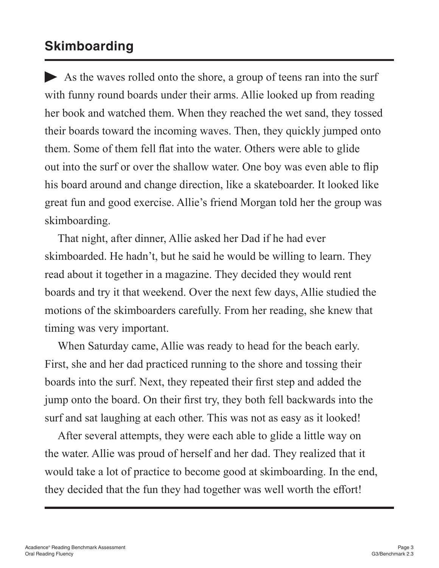## **Skimboarding**

As the waves rolled onto the shore, a group of teens ran into the surf with funny round boards under their arms. Allie looked up from reading her book and watched them. When they reached the wet sand, they tossed their boards toward the incoming waves. Then, they quickly jumped onto them. Some of them fell flat into the water. Others were able to glide out into the surf or over the shallow water. One boy was even able to flip his board around and change direction, like a skateboarder. It looked like great fun and good exercise. Allie's friend Morgan told her the group was skimboarding.

That night, after dinner, Allie asked her Dad if he had ever skimboarded. He hadn't, but he said he would be willing to learn. They read about it together in a magazine. They decided they would rent boards and try it that weekend. Over the next few days, Allie studied the motions of the skimboarders carefully. From her reading, she knew that timing was very important.

When Saturday came, Allie was ready to head for the beach early. First, she and her dad practiced running to the shore and tossing their boards into the surf. Next, they repeated their first step and added the jump onto the board. On their first try, they both fell backwards into the surf and sat laughing at each other. This was not as easy as it looked!

After several attempts, they were each able to glide a little way on the water. Allie was proud of herself and her dad. They realized that it would take a lot of practice to become good at skimboarding. In the end, they decided that the fun they had together was well worth the effort!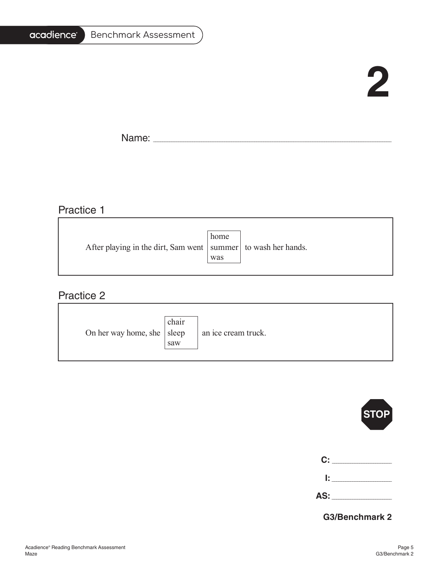#### acadience® Benchmark Assessment

# **2**

 $\overline{\phantom{0}}$ 

Name: \_\_\_\_\_\_\_\_\_\_\_\_\_\_\_\_\_\_\_\_\_\_\_\_\_\_\_\_\_\_\_\_\_\_\_\_\_\_\_\_\_\_\_\_\_\_\_\_\_\_\_\_\_\_\_\_\_\_\_\_\_\_\_\_\_\_\_\_\_\_\_\_\_\_\_\_\_\_\_\_\_\_\_\_\_\_\_\_\_\_\_\_\_\_\_\_\_\_\_\_\_\_\_

#### Practice 1

|                                                                   | home |  |
|-------------------------------------------------------------------|------|--|
| After playing in the dirt, Sam went   summer   to wash her hands. |      |  |
|                                                                   | was  |  |
|                                                                   |      |  |

#### Practice 2

| On her way home, she   sleep | chair<br>saw | an ice cream truck. |
|------------------------------|--------------|---------------------|
|------------------------------|--------------|---------------------|



**Benchmark 3 AS:** \_\_\_\_\_\_\_\_\_\_\_\_\_\_\_\_\_\_\_\_\_\_\_\_\_\_

**G3/Benchmark 2**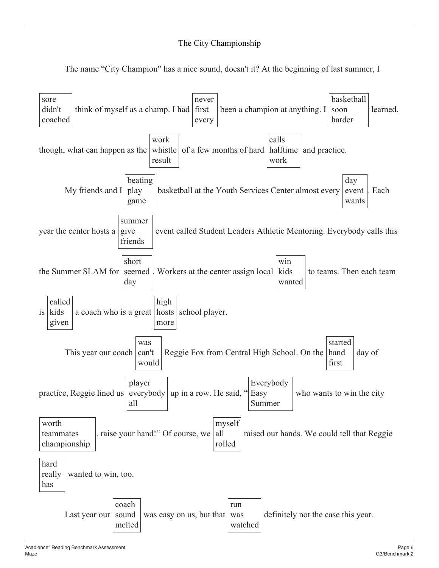#### The City Championship

The name "City Champion" has a nice sound, doesn't it? At the beginning of last summer, I

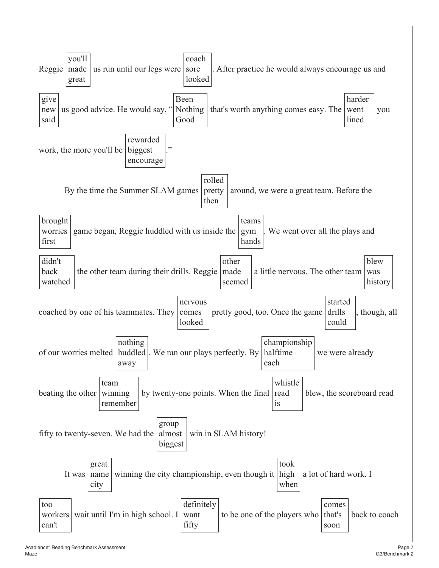